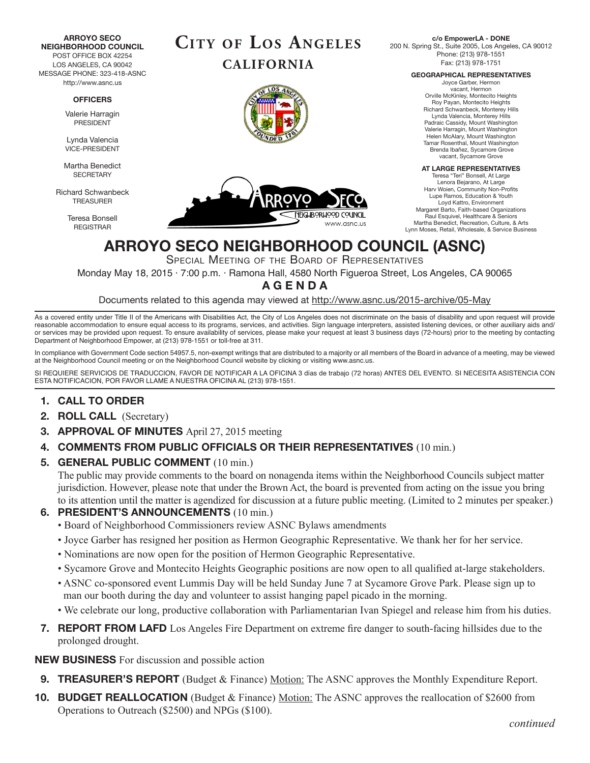**ARROYO SECO NEIGHBORHOOD COUNCIL** POST OFFICE BOX 42254 LOS ANGELES, CA 90042 MESSAGE PHONE: 323-418-ASNC http://www.asnc.us

#### **OFFICERS**

Valerie Harragin PRESIDENT

Lynda Valencia VICE-PRESIDENT

Martha Benedict **SECRETARY** 

Richard Schwanbeck TREASURER

> Teresa Bonsell REGISTRAR







**c/o EmpowerLA - DONE** 200 N. Spring St., Suite 2005, Los Angeles, CA 90012 Phone: (213) 978-1551 Fax: (213) 978-1751

**GEOGRAPHICAL REPRESENTATIVES**

Joyce Garber, Hermon vacant, Hermon Orville McKinley, Montecito Heights Roy Payan, Montecito Heights Richard Schwanbeck, Monterey Hills Lynda Valencia, Monterey Hills Padraic Cassidy, Mount Washington Valerie Harragin, Mount Washington Helen McAlary, Mount Washington Tamar Rosenthal, Mount Washington Brenda Ibañez, Sycamore Grove vacant, Sycamore Grove

#### **AT LARGE REPRESENTATIVES**

Teresa "Teri" Bonsell, At Large Lenora Bejarano, At Large Harv Woien, Community Non-Profits Lupe Ramos, Education & Youth Loyd Kattro, Environment Margaret Barto, Faith-based Organizations Raul Esquivel, Healthcare & Seniors Martha Benedict, Recreation, Culture, & Arts Lynn Moses, Retail, Wholesale, & Service Business

# **ARROYO SECO NEIGHBORHOOD COUNCIL (ASNC)**

Special Meeting of the Board of Representatives

Monday May 18, 2015 · 7:00 p.m. · Ramona Hall, 4580 North Figueroa Street, Los Angeles, CA 90065

## **A G E N D A**

Documents related to this agenda may viewed at http://www.asnc.us/2015-archive/05-May

As a covered entity under Title II of the Americans with Disabilities Act, the City of Los Angeles does not discriminate on the basis of disability and upon request will provide reasonable accommodation to ensure equal access to its programs, services, and activities. Sign language interpreters, assisted listening devices, or other auxiliary aids and/ or services may be provided upon request. To ensure availability of services, please make your request at least 3 business days (72-hours) prior to the meeting by contacting Department of Neighborhood Empower, at (213) 978-1551 or toll-free at 311.

In compliance with Government Code section 54957.5, non-exempt writings that are distributed to a majority or all members of the Board in advance of a meeting, may be viewed at the Neighborhood Council meeting or on the Neighborhood Council website by clicking or visiting www.asnc.us.

SI REQUIERE SERVICIOS DE TRADUCCION, FAVOR DE NOTIFICAR A LA OFICINA 3 días de trabajo (72 horas) ANTES DEL EVENTO. SI NECESITA ASISTENCIA CON ESTA NOTIFICACION, POR FAVOR LLAME A NUESTRA OFICINA AL (213) 978-1551.

## **1. CALL TO ORDER**

- **2. ROLL CALL** (Secretary)
- **3. APPROVAL OF MINUTES** April 27, 2015 meeting
- **4. COMMENTS FROM PUBLIC OFFICIALS OR THEIR REPRESENTATIVES** (10 min.)
- **5. GENERAL PUBLIC COMMENT** (10 min.)

The public may provide comments to the board on nonagenda items within the Neighborhood Councils subject matter jurisdiction. However, please note that under the Brown Act, the board is prevented from acting on the issue you bring to its attention until the matter is agendized for discussion at a future public meeting. (Limited to 2 minutes per speaker.)

### **6. PRESIDENT'S ANNOUNCEMENTS** (10 min.)

- Board of Neighborhood Commissioners review ASNC Bylaws amendments
- Joyce Garber has resigned her position as Hermon Geographic Representative. We thank her for her service.
- Nominations are now open for the position of Hermon Geographic Representative.
- Sycamore Grove and Montecito Heights Geographic positions are now open to all qualified at-large stakeholders.
- ASNC co-sponsored event Lummis Day will be held Sunday June 7 at Sycamore Grove Park. Please sign up to man our booth during the day and volunteer to assist hanging papel picado in the morning.
- We celebrate our long, productive collaboration with Parliamentarian Ivan Spiegel and release him from his duties.
- **7. REPORT FROM LAFD** Los Angeles Fire Department on extreme fire danger to south-facing hillsides due to the prolonged drought.

#### **NEW BUSINESS** For discussion and possible action

- **9. TREASURER'S REPORT** (Budget & Finance) Motion: The ASNC approves the Monthly Expenditure Report.
- **10. BUDGET REALLOCATION** (Budget & Finance) Motion: The ASNC approves the reallocation of \$2600 from Operations to Outreach (\$2500) and NPGs (\$100).

*continued*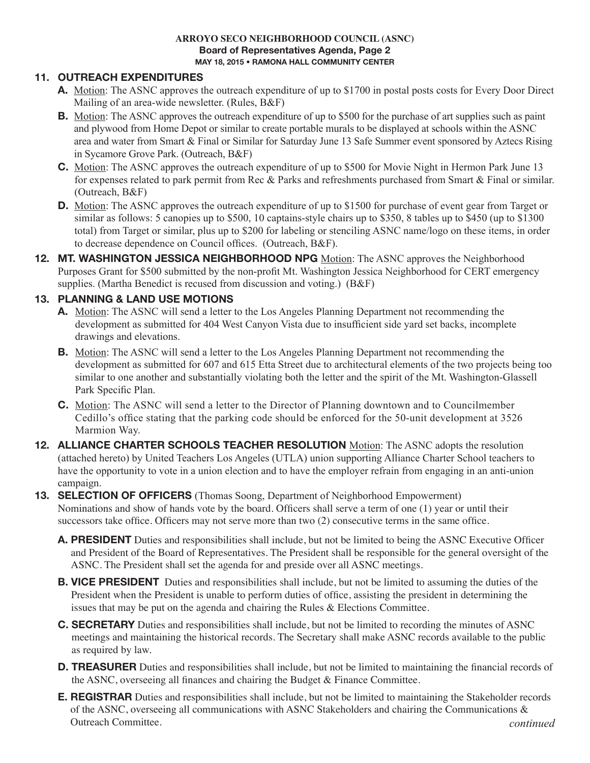#### **ARROYO SECO NEIGHBORHOOD COUNCIL (ASNC) Board of Representatives Agenda, Page 2 MAY 18, 2015 • RAMONA HALL COMMUNITY CENTER**

## **11. OUTREACH EXPENDITURES**

- **A.** Motion: The ASNC approves the outreach expenditure of up to \$1700 in postal posts costs for Every Door Direct Mailing of an area-wide newsletter. (Rules, B&F)
- **B.** Motion: The ASNC approves the outreach expenditure of up to \$500 for the purchase of art supplies such as paint and plywood from Home Depot or similar to create portable murals to be displayed at schools within the ASNC area and water from Smart & Final or Similar for Saturday June 13 Safe Summer event sponsored by Aztecs Rising in Sycamore Grove Park. (Outreach, B&F)
- **C.** Motion: The ASNC approves the outreach expenditure of up to \$500 for Movie Night in Hermon Park June 13 for expenses related to park permit from Rec & Parks and refreshments purchased from Smart & Final or similar. (Outreach, B&F)
- **D.** Motion: The ASNC approves the outreach expenditure of up to \$1500 for purchase of event gear from Target or similar as follows: 5 canopies up to \$500, 10 captains-style chairs up to \$350, 8 tables up to \$450 (up to \$1300 total) from Target or similar, plus up to \$200 for labeling or stenciling ASNC name/logo on these items, in order to decrease dependence on Council offices. (Outreach, B&F).
- **12. MT. WASHINGTON JESSICA NEIGHBORHOOD NPG** Motion: The ASNC approves the Neighborhood Purposes Grant for \$500 submitted by the non-profit Mt. Washington Jessica Neighborhood for CERT emergency supplies. (Martha Benedict is recused from discussion and voting.) (B&F)

## **13. PLANNING & LAND USE MOTIONS**

- **A.** Motion: The ASNC will send a letter to the Los Angeles Planning Department not recommending the development as submitted for 404 West Canyon Vista due to insufficient side yard set backs, incomplete drawings and elevations.
- **B.** Motion: The ASNC will send a letter to the Los Angeles Planning Department not recommending the development as submitted for 607 and 615 Etta Street due to architectural elements of the two projects being too similar to one another and substantially violating both the letter and the spirit of the Mt. Washington-Glassell Park Specific Plan.
- **C.** Motion: The ASNC will send a letter to the Director of Planning downtown and to Councilmember Cedillo's office stating that the parking code should be enforced for the 50-unit development at 3526 Marmion Way.
- **12. ALLIANCE CHARTER SCHOOLS TEACHER RESOLUTION** Motion: The ASNC adopts the resolution (attached hereto) by United Teachers Los Angeles (UTLA) union supporting Alliance Charter School teachers to have the opportunity to vote in a union election and to have the employer refrain from engaging in an anti-union campaign.

## **13. SELECTION OF OFFICERS** (Thomas Soong, Department of Neighborhood Empowerment) Nominations and show of hands vote by the board. Officers shall serve a term of one (1) year or until their successors take office. Officers may not serve more than two (2) consecutive terms in the same office.

- **A. PRESIDENT** Duties and responsibilities shall include, but not be limited to being the ASNC Executive Officer and President of the Board of Representatives. The President shall be responsible for the general oversight of the ASNC. The President shall set the agenda for and preside over all ASNC meetings.
- **B. VICE PRESIDENT** Duties and responsibilities shall include, but not be limited to assuming the duties of the President when the President is unable to perform duties of office, assisting the president in determining the issues that may be put on the agenda and chairing the Rules & Elections Committee.
- **C. SECRETARY** Duties and responsibilities shall include, but not be limited to recording the minutes of ASNC meetings and maintaining the historical records. The Secretary shall make ASNC records available to the public as required by law.
- **D. TREASURER** Duties and responsibilities shall include, but not be limited to maintaining the financial records of the ASNC, overseeing all finances and chairing the Budget & Finance Committee.
- **E. REGISTRAR** Duties and responsibilities shall include, but not be limited to maintaining the Stakeholder records of the ASNC, overseeing all communications with ASNC Stakeholders and chairing the Communications & Outreach Committee. *continued*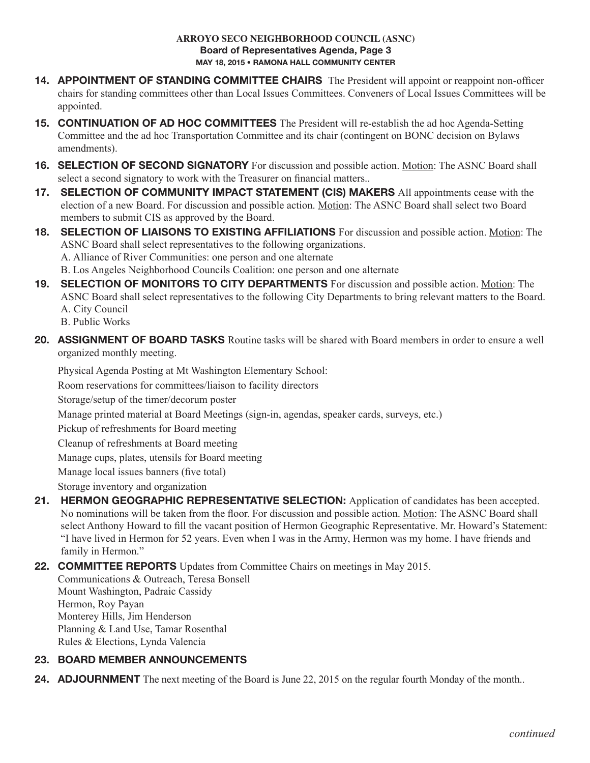#### **ARROYO SECO NEIGHBORHOOD COUNCIL (ASNC) Board of Representatives Agenda, Page 3 MAY 18, 2015 • RAMONA HALL COMMUNITY CENTER**

- 14. **APPOINTMENT OF STANDING COMMITTEE CHAIRS** The President will appoint or reappoint non-officer chairs for standing committees other than Local Issues Committees. Conveners of Local Issues Committees will be appointed.
- **15. CONTINUATION OF AD HOC COMMITTEES** The President will re-establish the ad hoc Agenda-Setting Committee and the ad hoc Transportation Committee and its chair (contingent on BONC decision on Bylaws amendments).
- **16. SELECTION OF SECOND SIGNATORY** For discussion and possible action. Motion: The ASNC Board shall select a second signatory to work with the Treasurer on financial matters..
- **17. SELECTION OF COMMUNITY IMPACT STATEMENT (CIS) MAKERS** All appointments cease with the election of a new Board. For discussion and possible action. Motion: The ASNC Board shall select two Board members to submit CIS as approved by the Board.
- **18. SELECTION OF LIAISONS TO EXISTING AFFILIATIONS** For discussion and possible action. Motion: The ASNC Board shall select representatives to the following organizations. A. Alliance of River Communities: one person and one alternate B. Los Angeles Neighborhood Councils Coalition: one person and one alternate
- **19. SELECTION OF MONITORS TO CITY DEPARTMENTS** For discussion and possible action. Motion: The ASNC Board shall select representatives to the following City Departments to bring relevant matters to the Board. A. City Council

B. Public Works

**20. ASSIGNMENT OF BOARD TASKS** Routine tasks will be shared with Board members in order to ensure a well organized monthly meeting.

 Physical Agenda Posting at Mt Washington Elementary School:

Room reservations for committees/liaison to facility directors

Storage/setup of the timer/decorum poster

 Manage printed material at Board Meetings (sign-in, agendas, speaker cards, surveys, etc.)

 Pickup of refreshments for Board meeting

Cleanup of refreshments at Board meeting

Manage cups, plates, utensils for Board meeting

 Manage local issues banners (five total)

Storage inventory and organization

**21. HERMON GEOGRAPHIC REPRESENTATIVE SELECTION:** Application of candidates has been accepted. No nominations will be taken from the floor. For discussion and possible action. Motion: The ASNC Board shall select Anthony Howard to fill the vacant position of Hermon Geographic Representative. Mr. Howard's Statement: "I have lived in Hermon for 52 years. Even when I was in the Army, Hermon was my home. I have friends and family in Hermon."

**22. COMMITTEE REPORTS** Updates from Committee Chairs on meetings in May 2015.

Communications & Outreach, Teresa Bonsell Mount Washington, Padraic Cassidy Hermon, Roy Payan Monterey Hills, Jim Henderson Planning & Land Use, Tamar Rosenthal Rules & Elections, Lynda Valencia

# **23. BOARD MEMBER ANNOUNCEMENTS**

**24. ADJOURNMENT** The next meeting of the Board is June 22, 2015 on the regular fourth Monday of the month..